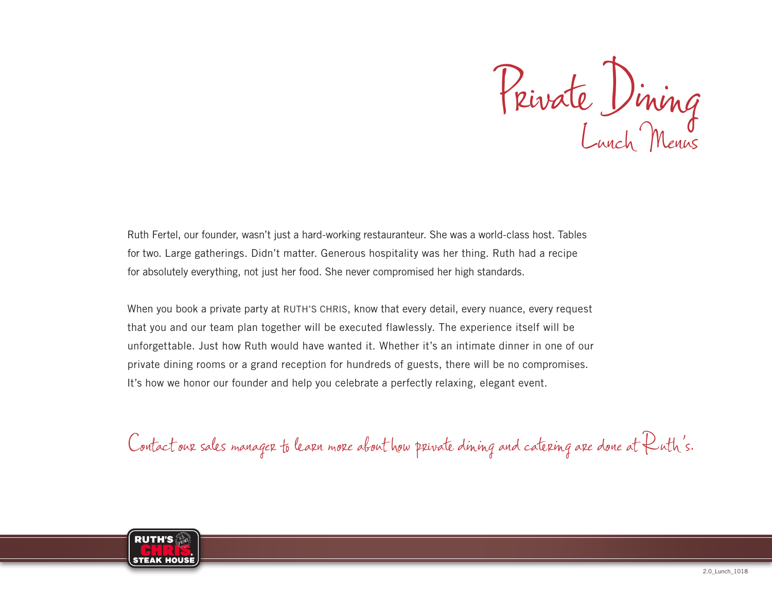Private Dining Lunch Menus

Ruth Fertel, our founder, wasn't just a hard-working restauranteur. She was a world-class host. Tables for two. Large gatherings. Didn't matter. Generous hospitality was her thing. Ruth had a recipe for absolutely everything, not just her food. She never compromised her high standards.

When you book a private party at RUTH'S CHRIS, know that every detail, every nuance, every request that you and our team plan together will be executed flawlessly. The experience itself will be unforgettable. Just how Ruth would have wanted it. Whether it's an intimate dinner in one of our private dining rooms or a grand reception for hundreds of guests, there will be no compromises. It's how we honor our founder and help you celebrate a perfectly relaxing, elegant event.

Contact our sales manager to learn more about how private dining and catering are done at Ruth's.

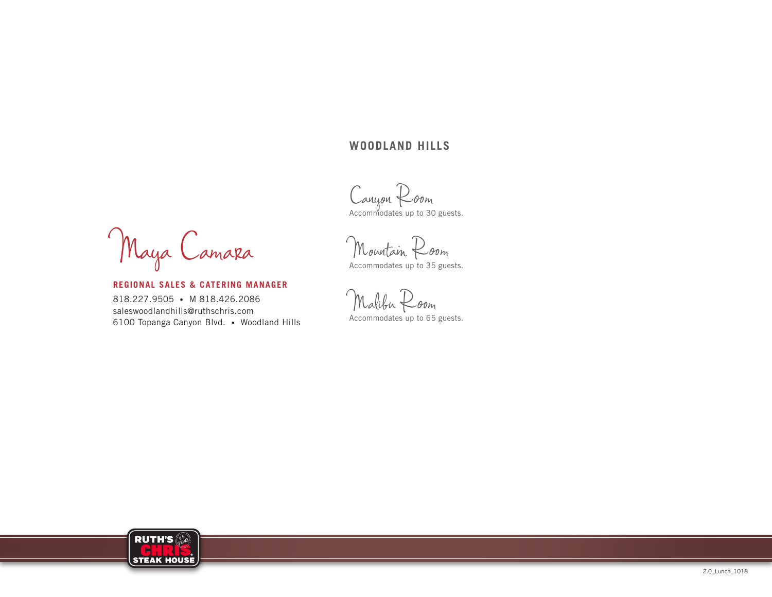## **WOODLAND HILLS**

Canyon Room<br>Accommodates up to 30 guests.

Maya Camara

**REGIONAL SALES & CATERING MANAGER** 818.227.9505 • M 818.426.2086 saleswoodlandhills@ruthschris.com 6100 Topanga Canyon Blvd. • Woodland Hills

Mountain Room Accommodates up to 35 guests.

Malibu Room Accommodates up to 65 guests.

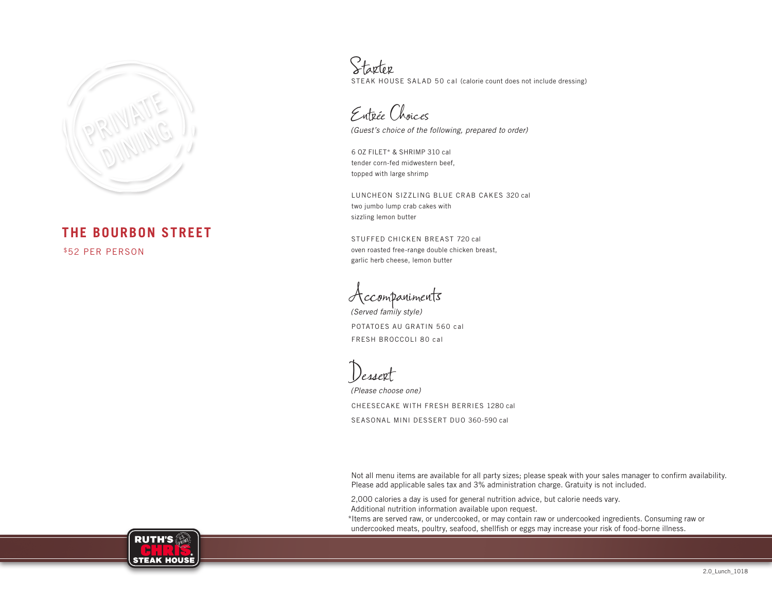

## **THE BOURBON STREET**

\$52 PER PERSON

Starter STEAK HOUSE SALAD 50 cal (calorie count does not include dressing)

Entrée Choices

*(Guest's choice of the following, prepared to order)*

6 OZ FILET\* & SHRIMP 310 cal tender corn-fed midwestern beef, topped with large shrimp

LUNCHEON SIZZLING BLUE CRAB CAKES 320 cal two jumbo lump crab cakes with sizzling lemon butter

STUFFED CHICKEN BREAST 720 cal oven roasted free-range double chicken breast, garlic herb cheese, lemon butter

Accompaniments

*(Served family style)* POTATOES AU GRATIN 560 cal FRESH BROCCOLI 80 cal

Dessert

*(Please choose one)* CHEESECAKE WITH FRESH BERRIES 1280 cal SEASONAL MINI DESSERT DUO 360-590 cal

Not all menu items are available for all party sizes; please speak with your sales manager to confirm availability. Please add applicable sales tax and 3% administration charge. Gratuity is not included.

2,000 calories a day is used for general nutrition advice, but calorie needs vary. Additional nutrition information available upon request.

\*Items are served raw, or undercooked, or may contain raw or undercooked ingredients. Consuming raw or undercooked meats, poultry, seafood, shellfish or eggs may increase your risk of food-borne illness.

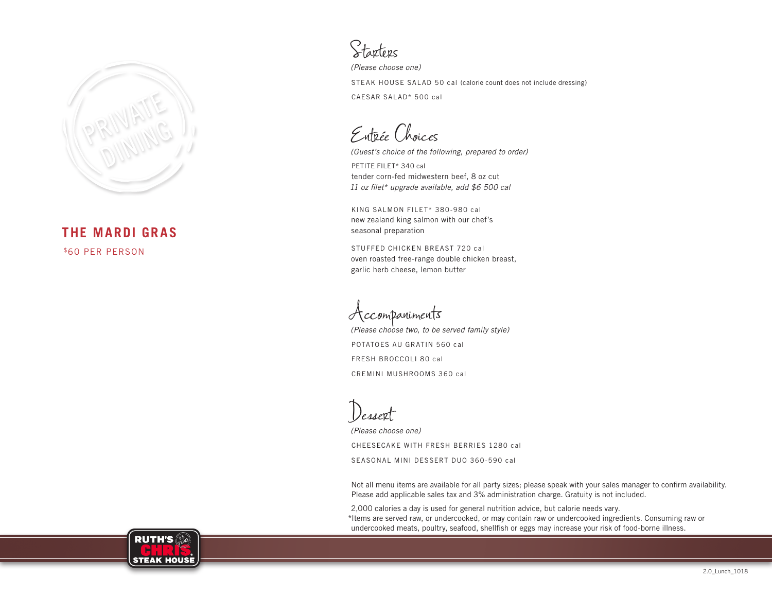

**THE MARDI GRAS** \$60 PER PERSON

Starters

*(Please choose one)* STEAK HOUSE SALAD 50 cal (calorie count does not include dressing) CAESAR SALAD\* 500 cal

Entrée Choices

*(Guest's choice of the following, prepared to order)*

PETITE FILET\* 340 cal tender corn-fed midwestern beef, 8 oz cut *11 oz filet\* upgrade available, add \$6 500 cal*

KING SALMON FILET\* 380-980 cal new zealand king salmon with our chef's seasonal preparation

STUFFED CHICKEN BREAST 720 cal oven roasted free-range double chicken breast, garlic herb cheese, lemon butter

Accompaniments

*(Please choose two, to be served family style)* POTATOES AU GRATIN 560 cal FRESH BROCCOLI 80 cal CREMINI MUSHROOMS 360 cal

Dessert

*(Please choose one)* CHEESECAKE WITH FRESH BERRIES 1280 cal SEASONAL MINI DESSERT DUO 360-590 cal

Not all menu items are available for all party sizes; please speak with your sales manager to confirm availability. Please add applicable sales tax and 3% administration charge. Gratuity is not included.

2,000 calories a day is used for general nutrition advice, but calorie needs vary. \*Items are served raw, or undercooked, or may contain raw or undercooked ingredients. Consuming raw or undercooked meats, poultry, seafood, shellfish or eggs may increase your risk of food-borne illness.

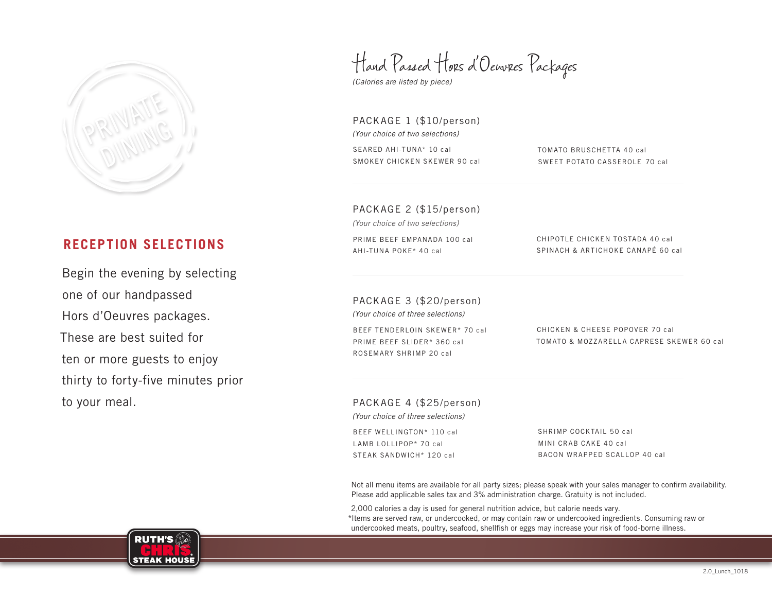

# **RECEPTION SELECTIONS**

Begin the evening by selecting one of our handpassed Hors d'Oeuvres packages. These are best suited for ten or more guests to enjoy thirty to forty-five minutes prior to your meal.

Hand Passed Hors d'Oeuvres Packages

*(Calories are listed by piece)*

PACKAGE 1 (\$10/person) *(Your choice of two selections)* SEARED AHI-TUNA\* 10 cal SMOKEY CHICKEN SKEWER 90 cal

TOMATO BRUSCHETTA 40 cal SWEET POTATO CASSEROLE 70 cal

PACKAGE 2 (\$15/person)

*(Your choice of two selections)*

PRIME BEEF EMPANADA 100 cal AHI-TUNA POKE\* 40 cal

CHIPOTLE CHICKEN TOSTADA 40 cal SPINACH & ARTICHOKE CANAPÉ 60 cal

PACKAGE 3 (\$20/person) *(Your choice of three selections)*

BEEF TENDERLOIN SKEWER\* 70 cal PRIME BEEF SLIDER\* 360 cal ROSEMARY SHRIMP 20 cal

CHICKEN & CHEESE POPOVER 70 cal TOMATO & MOZZARELLA CAPRESE SKEWER 60 cal

PACKAGE 4 (\$25/person) *(Your choice of three selections)*

BEEF WELLINGTON\* 110 cal LAMB LOLLIPOP\* 70 cal STEAK SANDWICH\* 120 cal

SHRIMP COCKTAIL 50 cal MINI CRAB CAKE 40 cal BACON WRAPPED SCALLOP 40 cal

Not all menu items are available for all party sizes; please speak with your sales manager to confirm availability. Please add applicable sales tax and 3% administration charge. Gratuity is not included.

2,000 calories a day is used for general nutrition advice, but calorie needs vary. \*Items are served raw, or undercooked, or may contain raw or undercooked ingredients. Consuming raw or undercooked meats, poultry, seafood, shellfish or eggs may increase your risk of food-borne illness.

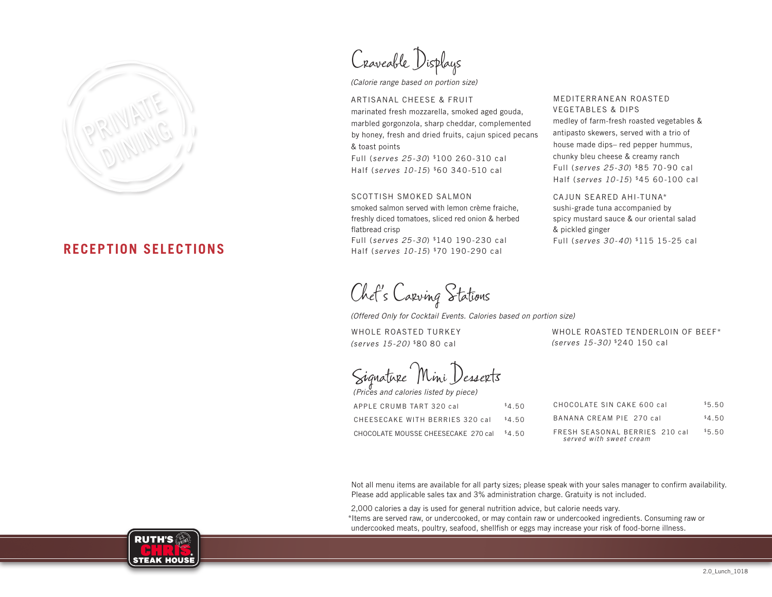

## **RECEPTION SELECTIONS**

Craveable Displays

*(Calorie range based on portion size)*

ARTISANAL CHEESE & FRUIT marinated fresh mozzarella, smoked aged gouda, marbled gorgonzola, sharp cheddar, complemented by honey, fresh and dried fruits, cajun spiced pecans & toast points

Full (*serves 25-30*) \$100 260-310 cal Half (*serves 10-15*) \$60 340-510 cal

#### SCOTTISH SMOKED SALMON

smoked salmon served with lemon crème fraiche, freshly diced tomatoes, sliced red onion & herbed flatbread crisp Full (*serves 25-30*) \$140 190-230 cal

Half (*serves 10-15*) \$70 190-290 cal

Chef's Carving Stations

*(Offered Only for Cocktail Events. Calories based on portion size)*

WHOLE ROASTED TURKEY *(serves 15-20)* \$80 80 cal

WHOLE ROASTED TENDERLOIN OF BEEF\* *(serves 15-30)* \$240 150 cal

MEDITERRANEAN ROASTED VEGETABLES & DIPS

CAJUN SEARED AHI-TUNA\* sushi-grade tuna accompanied by spicy mustard sauce & our oriental salad

Full (*serves 30-40*) \$115 15-25 cal

& pickled ginger

medley of farm-fresh roasted vegetables & antipasto skewers, served with a trio of house made dips– red pepper hummus, chunky bleu cheese & creamy ranch Full (*serves 25-30*) \$85 70-90 cal Half (*serves 10-15*) \$45 60-100 cal

Signature Mini Desserts

| (Prices and calories listed by piece) |        |
|---------------------------------------|--------|
| APPLE CRUMB TART 320 cal              | \$4.50 |
| CHEESECAKE WITH BERRIES 320 cal       | \$4.50 |
| CHOCOLATE MOUSSE CHEESECAKE 270 cal   | \$4.50 |

| CHOCOLATE SIN CAKE 600 cal                                | \$5.50 |
|-----------------------------------------------------------|--------|
| BANANA CREAM PIE 270 cal                                  | \$4.50 |
| FRESH SEASONAL BERRIES 210 cal<br>served with sweet cream | \$5.50 |

Not all menu items are available for all party sizes; please speak with your sales manager to confirm availability. Please add applicable sales tax and 3% administration charge. Gratuity is not included.

2,000 calories a day is used for general nutrition advice, but calorie needs vary.

\*Items are served raw, or undercooked, or may contain raw or undercooked ingredients. Consuming raw or undercooked meats, poultry, seafood, shellfish or eggs may increase your risk of food-borne illness.